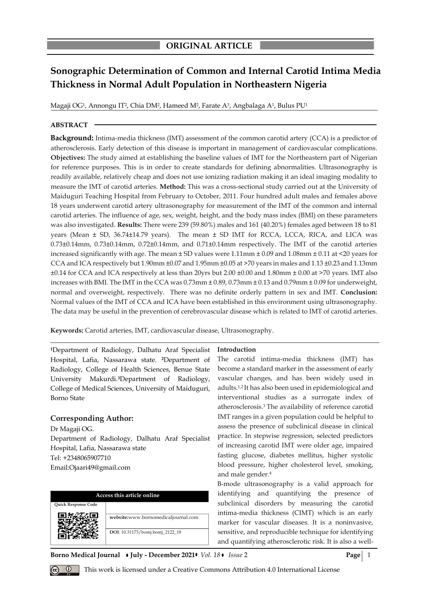# **Sonographic Determination of Common and Internal Carotid Intima Media Thickness in Normal Adult Population in Northeastern Nigeria**

Magaji OG<sup>1</sup>, Annongu IT<sup>2</sup>, Chia DM<sup>2</sup>, Hameed M<sup>2</sup>, Farate A<sup>3</sup>, Angbalaga A<sup>1</sup>, Bulus PU<sup>1</sup>

## **ABSTRACT**

**Background:** Intima-media thickness (IMT) assessment of the common carotid artery (CCA) is a predictor of atherosclerosis. Early detection of this disease is important in management of cardiovascular complications. **Objectives:** The study aimed at establishing the baseline values of IMT for the Northeastern part of Nigerian for reference purposes. This is in order to create standards for defining abnormalities. Ultrasonography is readily available, relatively cheap and does not use ionizing radiation making it an ideal imaging modality to measure the IMT of carotid arteries. **Method:** This was a cross-sectional study carried out at the University of Maiduguri Teaching Hospital from February to October, 2011. Four hundred adult males and females above 18 years underwent carotid artery ultrasonography for measurement of the IMT of the common and internal carotid arteries. The influence of age, sex, weight, height, and the body mass index (BMI) on these parameters was also investigated. **Results:** There were 239 (59.80%) males and 161 (40.20%) females aged between 18 to 81 years (Mean ± SD, 36.74±14.79 years). The mean ± SD IMT for RCCA, LCCA, RICA, and LICA was 0.73±0.14mm, 0.73±0.14mm, 0.72±0.14mm, and 0.71±0.14mm respectively. The IMT of the carotid arteries increased significantly with age. The mean  $\pm$  SD values were 1.11mm  $\pm$  0.09 and 1.08mm  $\pm$  0.11 at <20 years for CCA and ICA respectively but 1.90mm ±0.07 and 1.95mm ±0.05 at >70 years in males and 1.13 ±0.23 and 1.13mm ±0.14 for CCA and ICA respectively at less than 20yrs but 2.00 ±0.00 and 1.80mm ± 0.00 at >70 years. IMT also increases with BMI. The IMT in the CCA was 0.73mm ± 0.89, 0.73mm ± 0.13 and 0.79mm ± 0.09 for underweight, normal and overweight, respectively. There was no definite orderly pattern in sex and IMT. **Conclusion:**  Normal values of the IMT of CCA and ICA have been established in this environment using ultrasonography. The data may be useful in the prevention of cerebrovascular disease which is related to IMT of carotid arteries.

**Keywords:** Carotid arteries, IMT, cardiovascular disease, Ultrasonography.

**<sup>1</sup>**Department of Radiology, Dalhatu Araf Specialist Hospital, Lafia, Nassarawa state. **2**Department of Radiology, College of Health Sciences, Benue State University Makurdi.**3**Department of Radiology, College of Medical Sciences, University of Maiduguri, Borno State

# **Corresponding Author:**

Dr Magaji OG. Department of Radiology, Dalhatu Araf Specialist Hospital, Lafia, Nassarawa state Tel: +2348065907710 Email:Ojaari49@gmail.com

| Access this article online |                                     |  |  |  |
|----------------------------|-------------------------------------|--|--|--|
| <b>Ouick Response Code</b> |                                     |  |  |  |
|                            | website:www.bornomedicaljournal.com |  |  |  |
|                            | DOI: 10.31173/bomj.bomj_2122_18     |  |  |  |

**Introduction**

The carotid intima-media thickness (IMT) has become a standard marker in the assessment of early vascular changes, and has been widely used in adults.1,2 It has also been used in epidemiological and interventional studies as a surrogate index of atherosclerosis.<sup>3</sup> The availability of reference carotid IMT ranges in a given population could be helpful to assess the presence of subclinical disease in clinical practice. In stepwise regression, selected predictors of increasing carotid IMT were older age, impaired fasting glucose, diabetes mellitus, higher systolic blood pressure, higher cholesterol level, smoking, and male gender.<sup>4</sup>

B-mode ultrasonography is a valid approach for identifying and quantifying the presence of subclinical disorders by measuring the carotid intima-media thickness (CIMT) which is an early marker for vascular diseases. It is a noninvasive, sensitive, and reproducible technique for identifying and quantifying atherosclerotic risk. It is also a well-

**Borno Medical Journal • July - December 2021 •** *Vol.* 18 • *Issue* 2 **Page** | 1



*Q* This work is licensed under a Creative Commons Attribution 4.0 International License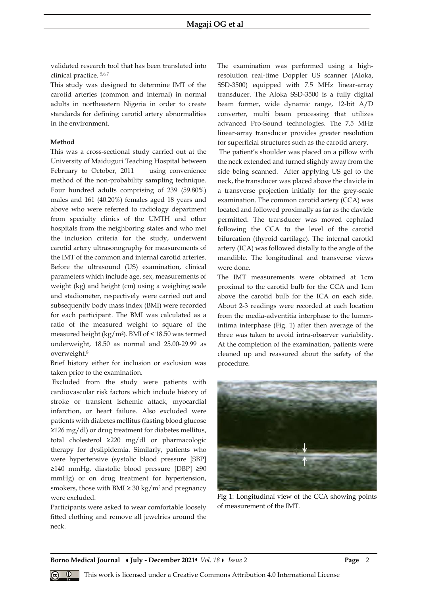validated research tool that has been translated into clinical practice. 5,6,7

This study was designed to determine IMT of the carotid arteries (common and internal) in normal adults in northeastern Nigeria in order to create standards for defining carotid artery abnormalities in the environment.

#### **Method**

This was a cross-sectional study carried out at the University of Maiduguri Teaching Hospital between February to October, 2011 using convenience method of the non-probability sampling technique. Four hundred adults comprising of 239 (59.80%) males and 161 (40.20%) females aged 18 years and above who were referred to radiology department from specialty clinics of the UMTH and other hospitals from the neighboring states and who met the inclusion criteria for the study, underwent carotid artery ultrasonography for measurements of the IMT of the common and internal carotid arteries. Before the ultrasound (US) examination, clinical parameters which include age, sex, measurements of weight (kg) and height (cm) using a weighing scale and stadiometer, respectively were carried out and subsequently body mass index (BMI) were recorded for each participant. The BMI was calculated as a ratio of the measured weight to square of the measured height (kg/m<sup>2</sup> ). BMI of < 18.50 was termed underweight, 18.50 as normal and 25.00-29.99 as overweight.<sup>8</sup>

Brief history either for inclusion or exclusion was taken prior to the examination.

Excluded from the study were patients with cardiovascular risk factors which include history of stroke or transient ischemic attack, myocardial infarction, or heart failure. Also excluded were patients with diabetes mellitus (fasting blood glucose ≥126 mg/dl) or drug treatment for diabetes mellitus, total cholesterol ≥220 mg/dl or pharmacologic therapy for dyslipidemia. Similarly, patients who were hypertensive (systolic blood pressure [SBP] ≥140 mmHg, diastolic blood pressure [DBP] ≥90 mmHg) or on drug treatment for hypertension, smokers, those with BMI  $\geq$  30 kg/m<sup>2</sup> and pregnancy were excluded.

Participants were asked to wear comfortable loosely fitted clothing and remove all jewelries around the neck.

The examination was performed using a highresolution real-time Doppler US scanner (Aloka, SSD-3500) equipped with 7.5 MHz linear-array transducer. The Aloka SSD-3500 is a fully digital beam former, wide dynamic range, 12-bit A/D converter, multi beam processing that utilizes advanced Pro-Sound technologies. The 7.5 MHz linear-array transducer provides greater resolution for superficial structures such as the carotid artery.

The patient's shoulder was placed on a pillow with the neck extended and turned slightly away from the side being scanned. After applying US gel to the neck, the transducer was placed above the clavicle in a transverse projection initially for the grey-scale examination. The common carotid artery (CCA) was located and followed proximally as far as the clavicle permitted. The transducer was moved cephalad following the CCA to the level of the carotid bifurcation (thyroid cartilage). The internal carotid artery (ICA) was followed distally to the angle of the mandible. The longitudinal and transverse views were done.

The IMT measurements were obtained at 1cm proximal to the carotid bulb for the CCA and 1cm above the carotid bulb for the ICA on each side. About 2-3 readings were recorded at each location from the media-adventitia interphase to the lumenintima interphase (Fig. 1) after then average of the three was taken to avoid intra-observer variability. At the completion of the examination, patients were cleaned up and reassured about the safety of the procedure.



Fig 1: Longitudinal view of the CCA showing points of measurement of the IMT.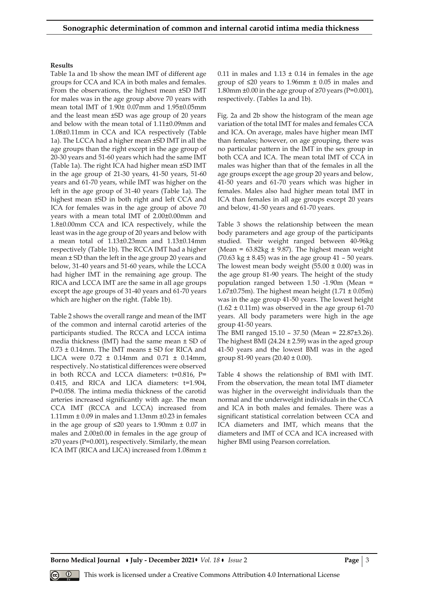#### **Results**

Table 1a and 1b show the mean IMT of different age groups for CCA and ICA in both males and females. From the observations, the highest mean ±SD IMT for males was in the age group above 70 years with mean total IMT of 1.90± 0.07mm and 1.95±0.05mm and the least mean ±SD was age group of 20 years and below with the mean total of 1.11±0.09mm and 1.08±0.11mm in CCA and ICA respectively (Table 1a). The LCCA had a higher mean ±SD IMT in all the age groups than the right except in the age group of 20-30 years and 51-60 years which had the same IMT (Table 1a). The right ICA had higher mean ±SD IMT in the age group of 21-30 years, 41-50 years, 51-60 years and 61-70 years, while IMT was higher on the left in the age group of 31-40 years (Table 1a). The highest mean ±SD in both right and left CCA and ICA for females was in the age group of above 70 years with a mean total IMT of 2.00±0.00mm and 1.8±0.00mm CCA and ICA respectively, while the least was in the age group of 20 years and below with a mean total of 1.13±0.23mm and 1.13±0.14mm respectively (Table 1b). The RCCA IMT had a higher mean  $\pm$  SD than the left in the age group 20 years and below, 31-40 years and 51-60 years, while the LCCA had higher IMT in the remaining age group. The RICA and LCCA IMT are the same in all age groups except the age groups of 31-40 years and 61-70 years which are higher on the right. (Table 1b).

Table 2 shows the overall range and mean of the IMT of the common and internal carotid arteries of the participants studied. The RCCA and LCCA intima media thickness (IMT) had the same mean ± SD of  $0.73 \pm 0.14$ mm. The IMT means  $\pm$  SD for RICA and LICA were  $0.72 \pm 0.14$ mm and  $0.71 \pm 0.14$ mm, respectively. No statistical differences were observed in both RCCA and LCCA diameters: t=0.816, P= 0.415, and RICA and LICA diameters: t=1.904, P=0.058. The intima media thickness of the carotid arteries increased significantly with age. The mean CCA IMT (RCCA and LCCA) increased from 1.11mm ± 0.09 in males and 1.13mm ±0.23 in females in the age group of ≤20 years to 1.90mm ± 0.07 in males and 2.00±0.00 in females in the age group of ≥70 years (P=0.001), respectively. Similarly, the mean ICA IMT (RICA and LICA) increased from 1.08mm ±

0.11 in males and  $1.13 \pm 0.14$  in females in the age group of  $\leq 20$  years to 1.96mm  $\pm$  0.05 in males and 1.80mm  $\pm 0.00$  in the age group of  $\geq 70$  years (P=0.001), respectively. (Tables 1a and 1b).

Fig. 2a and 2b show the histogram of the mean age variation of the total IMT for males and females CCA and ICA. On average, males have higher mean IMT than females; however, on age grouping, there was no particular pattern in the IMT in the sex group in both CCA and ICA. The mean total IMT of CCA in males was higher than that of the females in all the age groups except the age group 20 years and below, 41-50 years and 61-70 years which was higher in females. Males also had higher mean total IMT in ICA than females in all age groups except 20 years and below, 41-50 years and 61-70 years.

Table 3 shows the relationship between the mean body parameters and age group of the participants studied. Their weight ranged between 40-96kg (Mean =  $63.82\text{kg} \pm 9.87$ ). The highest mean weight  $(70.63 \text{ kg} \pm 8.45)$  was in the age group 41 – 50 years. The lowest mean body weight  $(55.00 \pm 0.00)$  was in the age group 81-90 years. The height of the study population ranged between 1.50 -1.90m (Mean = 1.67 $\pm$ 0.75m). The highest mean height (1.71  $\pm$  0.05m) was in the age group 41-50 years. The lowest height  $(1.62 \pm 0.11 \text{m})$  was observed in the age group 61-70 years. All body parameters were high in the age group 41-50 years.

The BMI ranged 15.10 – 37.50 (Mean = 22.87±3.26). The highest BMI ( $24.24 \pm 2.59$ ) was in the aged group 41-50 years and the lowest BMI was in the aged group 81-90 years  $(20.40 \pm 0.00)$ .

Table 4 shows the relationship of BMI with IMT. From the observation, the mean total IMT diameter was higher in the overweight individuals than the normal and the underweight individuals in the CCA and ICA in both males and females. There was a significant statistical correlation between CCA and ICA diameters and IMT, which means that the diameters and IMT of CCA and ICA increased with higher BMI using Pearson correlation.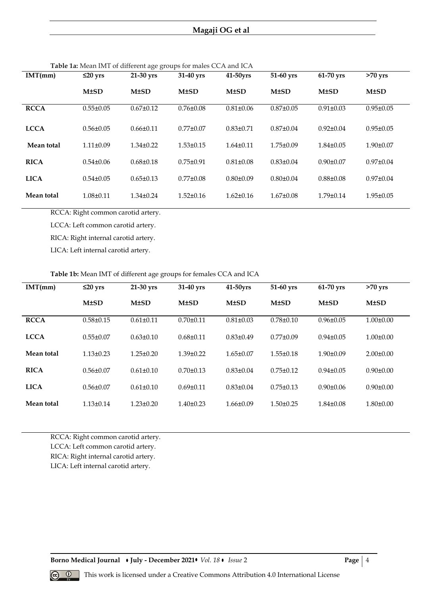# **Magaji OG et al**

| IMT(mm)     | $\leq$ 20 yrs   | 21-30 yrs       | $\frac{1}{200}$ . The contract of the contract $\frac{1}{200}$ of $\frac{1}{200}$ . The contract of $\frac{1}{200}$<br>31-40 yrs | 41-50yrs        | 51-60 yrs       | 61-70 yrs       | $>70$ yrs       |
|-------------|-----------------|-----------------|----------------------------------------------------------------------------------------------------------------------------------|-----------------|-----------------|-----------------|-----------------|
|             | $M\pm SD$       | $M\pm SD$       | $M\pm SD$                                                                                                                        | $M\pm SD$       | $M\pm SD$       | $M\pm SD$       | $M\pm SD$       |
| <b>RCCA</b> | $0.55 \pm 0.05$ | $0.67 \pm 0.12$ | $0.76 \pm 0.08$                                                                                                                  | $0.81 \pm 0.06$ | $0.87 \pm 0.05$ | $0.91 \pm 0.03$ | $0.95 \pm 0.05$ |
|             |                 |                 |                                                                                                                                  |                 |                 |                 |                 |
| <b>LCCA</b> | $0.56 \pm 0.05$ | $0.66 \pm 0.11$ | $0.77 \pm 0.07$                                                                                                                  | $0.83 \pm 0.71$ | $0.87 \pm 0.04$ | $0.92 \pm 0.04$ | $0.95 \pm 0.05$ |
|             |                 |                 |                                                                                                                                  |                 |                 |                 |                 |
| Mean total  | $1.11 \pm 0.09$ | $1.34\pm0.22$   | $1.53 \pm 0.15$                                                                                                                  | $1.64 \pm 0.11$ | $1.75 \pm 0.09$ | $1.84 \pm 0.05$ | $1.90 \pm 0.07$ |
| <b>RICA</b> | $0.54 \pm 0.06$ | $0.68 \pm 0.18$ | $0.75 \pm 0.91$                                                                                                                  | $0.81 \pm 0.08$ | $0.83 \pm 0.04$ | $0.90 \pm 0.07$ | $0.97 \pm 0.04$ |
| <b>LICA</b> | $0.54 \pm 0.05$ | $0.65 \pm 0.13$ | $0.77 \pm 0.08$                                                                                                                  | $0.80 \pm 0.09$ | $0.80 \pm 0.04$ | $0.88 \pm 0.08$ | $0.97 \pm 0.04$ |
| Mean total  | $1.08 \pm 0.11$ | $1.34\pm0.24$   | $1.52 \pm 0.16$                                                                                                                  | $1.62 \pm 0.16$ | $1.67 \pm 0.08$ | $1.79 \pm 0.14$ | $1.95 \pm 0.05$ |

**Table 1a:** Mean IMT of different age groups for males CCA and ICA

RCCA: Right common carotid artery.

LCCA: Left common carotid artery.

RICA: Right internal carotid artery.

LICA: Left internal carotid artery.

## **Table 1b:** Mean IMT of different age groups for females CCA and ICA

| IMT(mm)     | $\leq$ 20 yrs   | 21-30 yrs       | 31-40 yrs       | 41-50yrs        | 51-60 yrs       | 61-70 yrs       | $>70$ yrs       |
|-------------|-----------------|-----------------|-----------------|-----------------|-----------------|-----------------|-----------------|
|             | $M\pm SD$       | $M\pm SD$       | $M\pm SD$       | $M\pm SD$       | M±SD            | $M\pm SD$       | $M\pm SD$       |
| <b>RCCA</b> | $0.58 \pm 0.15$ | $0.61 \pm 0.11$ | $0.70 \pm 0.11$ | $0.81 \pm 0.03$ | $0.78 \pm 0.10$ | $0.96 \pm 0.05$ | $1.00 \pm 0.00$ |
| <b>LCCA</b> | $0.55 \pm 0.07$ | $0.63 \pm 0.10$ | $0.68 \pm 0.11$ | $0.83 \pm 0.49$ | $0.77 \pm 0.09$ | $0.94\pm0.05$   | $1.00 \pm 0.00$ |
| Mean total  | $1.13 \pm 0.23$ | $1.25 \pm 0.20$ | $1.39\pm0.22$   | $1.65 \pm 0.07$ | $1.55 \pm 0.18$ | $1.90 \pm 0.09$ | $2.00 \pm 0.00$ |
| <b>RICA</b> | $0.56 \pm 0.07$ | $0.61 \pm 0.10$ | $0.70 \pm 0.13$ | $0.83 \pm 0.04$ | $0.75 \pm 0.12$ | $0.94 \pm 0.05$ | $0.90 \pm 0.00$ |
| <b>LICA</b> | $0.56 \pm 0.07$ | $0.61 \pm 0.10$ | $0.69 \pm 0.11$ | $0.83 \pm 0.04$ | $0.75 \pm 0.13$ | $0.90 \pm 0.06$ | $0.90 \pm 0.00$ |
| Mean total  | $1.13 \pm 0.14$ | $1.23 \pm 0.20$ | $1.40 \pm 0.23$ | $1.66 \pm 0.09$ | $1.50 \pm 0.25$ | $1.84 \pm 0.08$ | $1.80 \pm 0.00$ |

RCCA: Right common carotid artery.

LCCA: Left common carotid artery.

RICA: Right internal carotid artery.

LICA: Left internal carotid artery.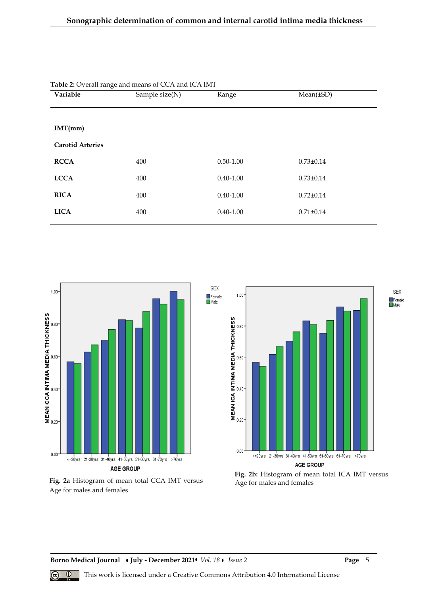| Variable                | Sample size(N) | Range         |                 | $Mean(\pm SD)$ |  |
|-------------------------|----------------|---------------|-----------------|----------------|--|
|                         |                |               |                 |                |  |
| IMT(mm)                 |                |               |                 |                |  |
| <b>Carotid Arteries</b> |                |               |                 |                |  |
| <b>RCCA</b>             | 400            | $0.50 - 1.00$ | $0.73 \pm 0.14$ |                |  |
| <b>LCCA</b>             | 400            | $0.40 - 1.00$ | $0.73 \pm 0.14$ |                |  |
| <b>RICA</b>             | 400            | $0.40 - 1.00$ | $0.72 \pm 0.14$ |                |  |
| <b>LICA</b>             | 400            | $0.40 - 1.00$ | $0.71 \pm 0.14$ |                |  |
|                         |                |               |                 |                |  |

**SEX** 

**Table 2:** Overall range and means of CCA and ICA IMT









**Borno Medical Journal • July - December 2021 •** *Vol. 18* **•** *Issue* **2 <b>Page** | 5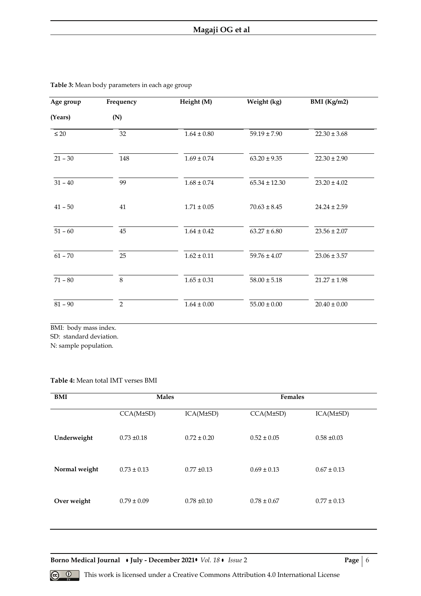| $59.19 \pm 7.90$ | $22.30 \pm 3.68$                                                                                                                          |
|------------------|-------------------------------------------------------------------------------------------------------------------------------------------|
|                  |                                                                                                                                           |
|                  |                                                                                                                                           |
|                  | $22.30 \pm 2.90$                                                                                                                          |
|                  | $23.20 \pm 4.02$                                                                                                                          |
|                  | $24.24 \pm 2.59$                                                                                                                          |
|                  | $23.56 \pm 2.07$                                                                                                                          |
|                  | $23.06 \pm 3.57$                                                                                                                          |
|                  | $21.27 \pm 1.98$                                                                                                                          |
|                  | $20.40 \pm 0.00$                                                                                                                          |
|                  | $63.20 \pm 9.35$<br>$65.34 \pm 12.30$<br>$70.63 \pm 8.45$<br>$63.27 \pm 6.80$<br>$59.76 \pm 4.07$<br>$58.00 \pm 5.18$<br>$55.00 \pm 0.00$ |

**Table 3:** Mean body parameters in each age group

BMI: body mass index. SD: standard deviation.

N: sample population.

## **Table 4:** Mean total IMT verses BMI

| BMI           | <b>Males</b>    |                 | <b>Females</b>  |                 |  |
|---------------|-----------------|-----------------|-----------------|-----------------|--|
|               | CCA(M±SD)       | ICA(M±SD)       | CCA(M±SD)       | ICA(M±SD)       |  |
| Underweight   | $0.73 \pm 0.18$ | $0.72 \pm 0.20$ | $0.52 \pm 0.05$ | $0.58 \pm 0.03$ |  |
| Normal weight | $0.73 \pm 0.13$ | $0.77 \pm 0.13$ | $0.69 \pm 0.13$ | $0.67 \pm 0.13$ |  |
| Over weight   | $0.79 \pm 0.09$ | $0.78 \pm 0.10$ | $0.78 \pm 0.67$ | $0.77 \pm 0.13$ |  |
|               |                 |                 |                 |                 |  |

**Borno Medical Journal • July - December 2021 •** *Vol. 18* **•** *Issue* **2 <b>Page** | 6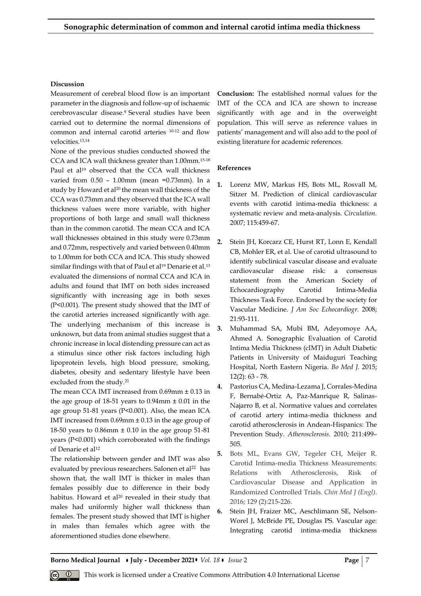#### **Discussion**

Measurement of cerebral blood flow is an important parameter in the diagnosis and follow-up of ischaemic cerebrovascular disease.<sup>9</sup> Several studies have been carried out to determine the normal dimensions of common and internal carotid arteries 10-12 and flow velocities.13,14

None of the previous studies conducted showed the CCA and ICA wall thickness greater than 1.00mm.15-18 Paul et al<sup>19</sup> observed that the CCA wall thickness varied from 0.50 – 1.00mm (mean =0.73mm). In a study by Howard et al<sup>20</sup> the mean wall thickness of the CCA was 0.73mm and they observed that the ICA wall thickness values were more variable, with higher proportions of both large and small wall thickness than in the common carotid. The mean CCA and ICA wall thicknesses obtained in this study were 0.73mm and 0.72mm, respectively and varied between 0.40mm to 1.00mm for both CCA and ICA. This study showed similar findings with that of Paul et al<sup>19</sup> Denarie et al.<sup>13</sup> evaluated the dimensions of normal CCA and ICA in adults and found that IMT on both sides increased significantly with increasing age in both sexes (P<0.001). The present study showed that the IMT of the carotid arteries increased significantly with age. The underlying mechanism of this increase is unknown, but data from animal studies suggest that a chronic increase in local distending pressure can act as a stimulus since other risk factors including high lipoprotein levels, high blood pressure, smoking, diabetes, obesity and sedentary lifestyle have been excluded from the study.<sup>21</sup>

The mean CCA IMT increased from 0.69mm ± 0.13 in the age group of  $18-51$  years to  $0.94$ mm  $\pm 0.01$  in the age group 51-81 years (P<0.001). Also, the mean ICA IMT increased from  $0.69$ mm  $\pm 0.13$  in the age group of 18-50 years to 0.86mm ± 0.10 in the age group 51-81 years (P<0.001) which corroborated with the findings of Denarie et al<sup>12</sup>

The relationship between gender and IMT was also evaluated by previous researchers. Salonen et al<sup>22</sup> has shown that, the wall IMT is thicker in males than females possibly due to difference in their body habitus. Howard et al<sup>20</sup> revealed in their study that males had uniformly higher wall thickness than females. The present study showed that IMT is higher in males than females which agree with the aforementioned studies done elsewhere.

**Conclusion:** The established normal values for the IMT of the CCA and ICA are shown to increase significantly with age and in the overweight population. This will serve as reference values in patients' management and will also add to the pool of existing literature for academic references.

#### **References**

- **1.** Lorenz MW, Markus HS, Bots ML, Rosvall M, Sitzer M. Prediction of clinical cardiovascular events with carotid intima-media thickness: a systematic review and meta-analysis. *Circulation.* 2007; 115:459-67.
- **2.** Stein JH, Korcarz CE, Hurst RT, Lonn E, Kendall CB, Mohler ER, et al. Use of carotid ultrasound to identify subclinical vascular disease and evaluate cardiovascular disease risk: a consensus statement from the American Society of Echocardiography Carotid Intima-Media Thickness Task Force. Endorsed by the society for Vascular Medicine. *J Am Soc Echocardiogr.* 2008; 21:93-111.
- **3.** Muhammad SA, Mubi BM, Adeyomoye AA, Ahmed A. Sonographic Evaluation of Carotid Intima Media Thickness (cIMT) in Adult Diabetic Patients in University of Maiduguri Teaching Hospital, North Eastern Nigeria. *Bo Med J.* 2015; 12(2): 63 - 78.
- **4.** Pastorius CA, Medina-Lezama J, Corrales-Medina F, Bernabé-Ortiz A, Paz-Manrique R, Salinas-Najarro B, et al. Normative values and correlates of carotid artery intima-media thickness and carotid atherosclerosis in Andean-Hispanics: The Prevention Study. *Atherosclerosis.* 2010; 211:499– 505.
- **5.** Bots ML, Evans GW, Tegeler CH, Meijer R. Carotid Intima-media Thickness Measurements: Relations with Atherosclerosis, Risk of Cardiovascular Disease and Application in Randomized Controlled Trials. *Chin Med J (Engl)*. 2016; 129 (2):215-226.
- **6.** Stein JH, Fraizer MC, Aeschlimann SE, Nelson-Worel J, McBride PE, Douglas PS. Vascular age: Integrating carotid intima-media thickness

**Borno Medical Journal • July - December 2021 •** *Vol.* 18 • *Issue* 2 **Page | 7**